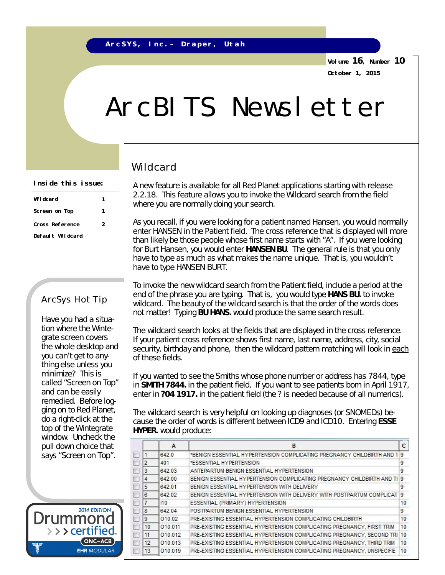**Volume 16, Number 10 October 1, 2015**

# ArcBITS Newsletter

## Wildcard

A new feature is available for all Red Planet applications starting with release 2.2.18. This feature allows you to invoke the Wildcard search from the field where you are normally doing your search.

As you recall, if you were looking for a patient named Hansen, you would normally enter HANSEN in the Patient field. The cross reference that is displayed will more than likely be those people whose first name starts with "A". If you were looking for Burt Hansen, you would enter **HANSEN BU**. The general rule is that you only have to *type as much* as what makes the name *unique*. That is, you wouldn't have to type HANSEN BURT.

To invoke the new wildcard search from the Patient field, *include a period* at the end of the phrase you are typing. That is, you would type **HANS BU.** to invoke wildcard. The beauty of the wildcard search is that the order of the words does not matter! Typing **BU HANS.** would produce the same search result.

The wildcard search looks at the fields that are displayed in the cross reference. If your patient cross reference shows first name, last name, address, city, social security, birthday and phone, then the wildcard pattern matching will look in each of these fields.

If you wanted to see the Smiths whose phone number or address has 7844, type in **SMITH 7844.** in the patient field. If you want to see patients born in April 1917, enter in **?04 1917.** in the patient field (the ? is needed because of all numerics).

The wildcard search is very helpful on looking up diagnoses (or SNOMEDs) because the order of words is different between ICD9 and ICD10. Entering **ESSE HYPER.** would produce:

|                | A       | B                                                                         | c              |
|----------------|---------|---------------------------------------------------------------------------|----------------|
|                | 642.0   | *BENIGN ESSENTIAL HYPERTENSION COMPLICATING PREGNANCY CHILDBIRTH AND T    | $\overline{9}$ |
| $\overline{2}$ | 401     | *ESSENTIAL HYPERTENSION                                                   | 9              |
| 3              | 642.03  | ANTEPARTUM BENIGN ESSENTIAL HYPERTENSION                                  | 9              |
| 4              | 642.00  | BENIGN ESSENTIAL HYPERTENSION COMPLICATING PREGNANCY CHILDBIRTH AND TI 9  |                |
| 5              | 642.01  | BENIGN ESSENTIAL HYPERTENSION WITH DELIVERY                               | 9              |
| 6              | 642.02  | BENIGN ESSENTIAL HYPERTENSION WITH DELIVERY WITH POSTPARTUM COMPLICAT     | 9              |
| 7              | 110     | ESSENTIAL (PRIMARY) HYPERTENSION                                          | 10             |
| 8              | 642.04  | POSTPARTUM BENIGN ESSENTIAL HYPERTENSION                                  | 9              |
| 9              | 010.02  | PRE-EXISTING ESSENTIAL HYPERTENSION COMPLICATING CHILDBIRTH               | 10             |
| 10             | 010.011 | PRE-EXISTING ESSENTIAL HYPERTENSION COMPLICATING PREGNANCY, FIRST TRIM    | 10             |
| 11             | 010.012 | PRE-EXISTING ESSENTIAL HYPERTENSION COMPLICATING PREGNANCY. SECOND TRI 10 |                |
| 12             | 010.013 | PRE-EXISTING ESSENTIAL HYPERTENSION COMPLICATING PREGNANCY, THIRD TRIM    | 10             |
| 13             | 010.019 | PRE-EXISTING ESSENTIAL HYPERTENSION COMPLICATING PREGNANCY, UNSPECIFIE    | 10             |

#### **Inside this issue:**

| Wildcard         |   |
|------------------|---|
| Screen on Top    |   |
| Cross Reference  | 2 |
| Default Wildcard |   |

### ArcSys Hot Tip

Have you had a situation where the Wintegrate screen covers the whole desktop and you can't get to anything else unless you minimize? This is called "Screen on Top" and can be easily remedied. Before logging on to Red Planet, do a right-click at the top of the Wintegrate window. Uncheck the pull down choice that says "Screen on Top".